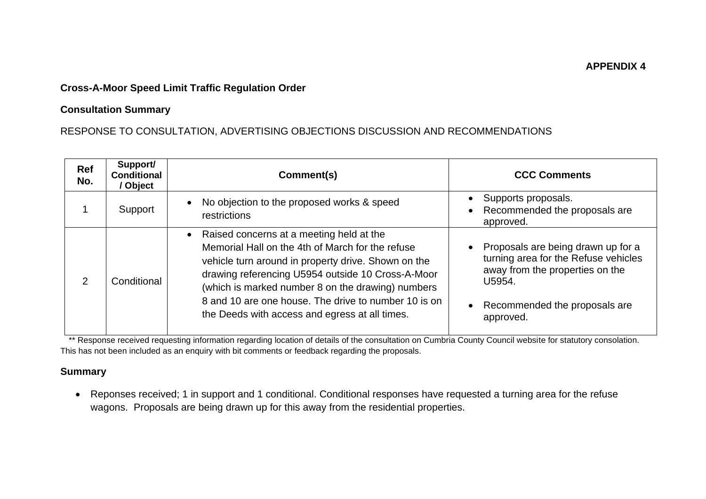#### **APPENDIX 4**

# **Cross-A-Moor Speed Limit Traffic Regulation Order**

### **Consultation Summary**

# RESPONSE TO CONSULTATION, ADVERTISING OBJECTIONS DISCUSSION AND RECOMMENDATIONS

| Ref<br>No.    | Support/<br><b>Conditional</b><br>/ Object | Comment(s)                                                                                                                                                                                                                                                                                                                                                              | <b>CCC Comments</b>                                                                                                                                                                |
|---------------|--------------------------------------------|-------------------------------------------------------------------------------------------------------------------------------------------------------------------------------------------------------------------------------------------------------------------------------------------------------------------------------------------------------------------------|------------------------------------------------------------------------------------------------------------------------------------------------------------------------------------|
|               | Support                                    | No objection to the proposed works & speed<br>restrictions                                                                                                                                                                                                                                                                                                              | Supports proposals.<br>Recommended the proposals are<br>approved.                                                                                                                  |
| $\mathcal{P}$ | Conditional                                | Raised concerns at a meeting held at the<br>Memorial Hall on the 4th of March for the refuse<br>vehicle turn around in property drive. Shown on the<br>drawing referencing U5954 outside 10 Cross-A-Moor<br>(which is marked number 8 on the drawing) numbers<br>8 and 10 are one house. The drive to number 10 is on<br>the Deeds with access and egress at all times. | Proposals are being drawn up for a<br>turning area for the Refuse vehicles<br>away from the properties on the<br>U5954.<br>Recommended the proposals are<br>$\bullet$<br>approved. |

\*\* Response received requesting information regarding location of details of the consultation on Cumbria County Council website for statutory consolation. This has not been included as an enquiry with bit comments or feedback regarding the proposals.

### **Summary**

• Reponses received; 1 in support and 1 conditional. Conditional responses have requested a turning area for the refuse wagons. Proposals are being drawn up for this away from the residential properties.